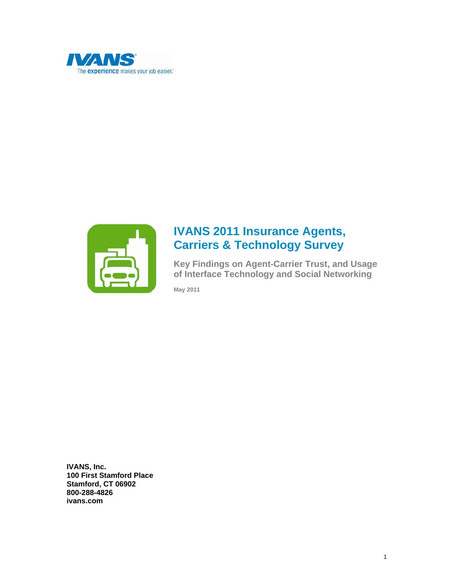



# **IVANS 2011 Insurance Agents, Carriers & Technology Survey**

**Key Findings on Agent-Carrier Trust, and Usage of Interface Technology and Social Networking** 

**May 2011**

**IVANS, Inc. 100 First Stamford Place Stamford, CT 06902 800-288-4826 ivans.com**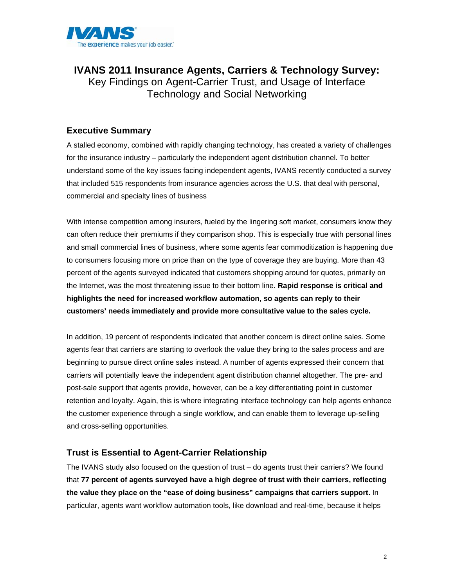

**IVANS 2011 Insurance Agents, Carriers & Technology Survey:**  Key Findings on Agent-Carrier Trust, and Usage of Interface Technology and Social Networking

## **Executive Summary**

A stalled economy, combined with rapidly changing technology, has created a variety of challenges for the insurance industry – particularly the independent agent distribution channel. To better understand some of the key issues facing independent agents, IVANS recently conducted a survey that included 515 respondents from insurance agencies across the U.S. that deal with personal, commercial and specialty lines of business

With intense competition among insurers, fueled by the lingering soft market, consumers know they can often reduce their premiums if they comparison shop. This is especially true with personal lines and small commercial lines of business, where some agents fear commoditization is happening due to consumers focusing more on price than on the type of coverage they are buying. More than 43 percent of the agents surveyed indicated that customers shopping around for quotes, primarily on the Internet, was the most threatening issue to their bottom line. **Rapid response is critical and highlights the need for increased workflow automation, so agents can reply to their customers' needs immediately and provide more consultative value to the sales cycle.**

In addition, 19 percent of respondents indicated that another concern is direct online sales. Some agents fear that carriers are starting to overlook the value they bring to the sales process and are beginning to pursue direct online sales instead. A number of agents expressed their concern that carriers will potentially leave the independent agent distribution channel altogether. The pre- and post-sale support that agents provide, however, can be a key differentiating point in customer retention and loyalty. Again, this is where integrating interface technology can help agents enhance the customer experience through a single workflow, and can enable them to leverage up-selling and cross-selling opportunities.

#### **Trust is Essential to Agent-Carrier Relationship**

The IVANS study also focused on the question of trust – do agents trust their carriers? We found that **77 percent of agents surveyed have a high degree of trust with their carriers, reflecting the value they place on the "ease of doing business" campaigns that carriers support.** In particular, agents want workflow automation tools, like download and real-time, because it helps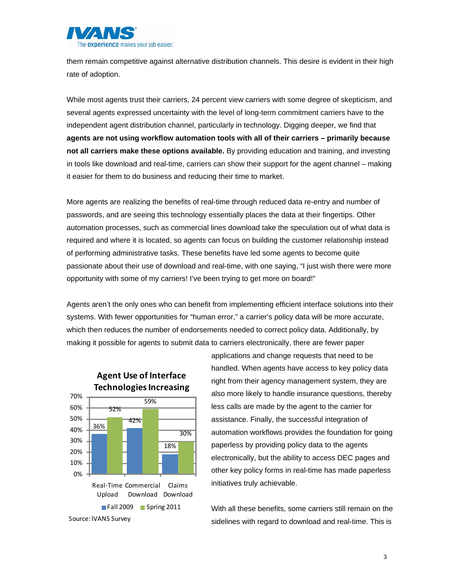

them remain competitive against alternative distribution channels. This desire is evident in their high rate of adoption.

While most agents trust their carriers, 24 percent view carriers with some degree of skepticism, and several agents expressed uncertainty with the level of long-term commitment carriers have to the independent agent distribution channel, particularly in technology. Digging deeper, we find that **agents are not using workflow automation tools with all of their carriers – primarily because not all carriers make these options available.** By providing education and training, and investing in tools like download and real-time, carriers can show their support for the agent channel – making it easier for them to do business and reducing their time to market.

More agents are realizing the benefits of real-time through reduced data re-entry and number of passwords, and are seeing this technology essentially places the data at their fingertips. Other automation processes, such as commercial lines download take the speculation out of what data is required and where it is located, so agents can focus on building the customer relationship instead of performing administrative tasks. These benefits have led some agents to become quite passionate about their use of download and real-time, with one saying, "I just wish there were more opportunity with some of my carriers! I've been trying to get more on board!"

Agents aren't the only ones who can benefit from implementing efficient interface solutions into their systems. With fewer opportunities for "human error," a carrier's policy data will be more accurate, which then reduces the number of endorsements needed to correct policy data. Additionally, by making it possible for agents to submit data to carriers electronically, there are fewer paper



**Agent Use of Interface**

applications and change requests that need to be handled. When agents have access to key policy data right from their agency management system, they are also more likely to handle insurance questions, thereby less calls are made by the agent to the carrier for assistance. Finally, the successful integration of automation workflows provides the foundation for going paperless by providing policy data to the agents electronically, but the ability to access DEC pages and other key policy forms in real-time has made paperless initiatives truly achievable.

With all these benefits, some carriers still remain on the sidelines with regard to download and real-time. This is

Source: IVANS Survey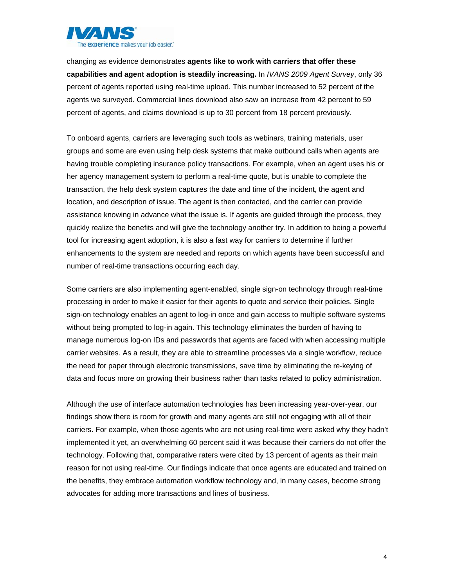

changing as evidence demonstrates **agents like to work with carriers that offer these capabilities and agent adoption is steadily increasing.** In *IVANS 2009 Agent Survey*, only 36 percent of agents reported using real-time upload. This number increased to 52 percent of the agents we surveyed. Commercial lines download also saw an increase from 42 percent to 59 percent of agents, and claims download is up to 30 percent from 18 percent previously.

To onboard agents, carriers are leveraging such tools as webinars, training materials, user groups and some are even using help desk systems that make outbound calls when agents are having trouble completing insurance policy transactions. For example, when an agent uses his or her agency management system to perform a real-time quote, but is unable to complete the transaction, the help desk system captures the date and time of the incident, the agent and location, and description of issue. The agent is then contacted, and the carrier can provide assistance knowing in advance what the issue is. If agents are guided through the process, they quickly realize the benefits and will give the technology another try. In addition to being a powerful tool for increasing agent adoption, it is also a fast way for carriers to determine if further enhancements to the system are needed and reports on which agents have been successful and number of real-time transactions occurring each day.

Some carriers are also implementing agent-enabled, single sign-on technology through real-time processing in order to make it easier for their agents to quote and service their policies. Single sign-on technology enables an agent to log-in once and gain access to multiple software systems without being prompted to log-in again. This technology eliminates the burden of having to manage numerous log-on IDs and passwords that agents are faced with when accessing multiple carrier websites. As a result, they are able to streamline processes via a single workflow, reduce the need for paper through electronic transmissions, save time by eliminating the re-keying of data and focus more on growing their business rather than tasks related to policy administration.

Although the use of interface automation technologies has been increasing year-over-year, our findings show there is room for growth and many agents are still not engaging with all of their carriers. For example, when those agents who are not using real-time were asked why they hadn't implemented it yet, an overwhelming 60 percent said it was because their carriers do not offer the technology. Following that, comparative raters were cited by 13 percent of agents as their main reason for not using real-time. Our findings indicate that once agents are educated and trained on the benefits, they embrace automation workflow technology and, in many cases, become strong advocates for adding more transactions and lines of business.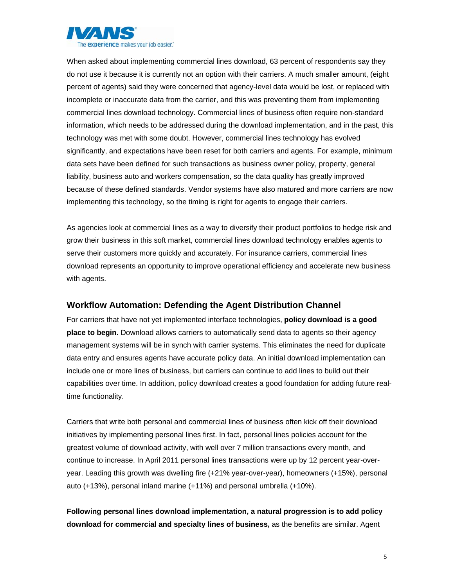

When asked about implementing commercial lines download, 63 percent of respondents say they do not use it because it is currently not an option with their carriers. A much smaller amount, (eight percent of agents) said they were concerned that agency-level data would be lost, or replaced with incomplete or inaccurate data from the carrier, and this was preventing them from implementing commercial lines download technology. Commercial lines of business often require non-standard information, which needs to be addressed during the download implementation, and in the past, this technology was met with some doubt. However, commercial lines technology has evolved significantly, and expectations have been reset for both carriers and agents. For example, minimum data sets have been defined for such transactions as business owner policy, property, general liability, business auto and workers compensation, so the data quality has greatly improved because of these defined standards. Vendor systems have also matured and more carriers are now implementing this technology, so the timing is right for agents to engage their carriers.

As agencies look at commercial lines as a way to diversify their product portfolios to hedge risk and grow their business in this soft market, commercial lines download technology enables agents to serve their customers more quickly and accurately. For insurance carriers, commercial lines download represents an opportunity to improve operational efficiency and accelerate new business with agents.

#### **Workflow Automation: Defending the Agent Distribution Channel**

For carriers that have not yet implemented interface technologies, **policy download is a good place to begin.** Download allows carriers to automatically send data to agents so their agency management systems will be in synch with carrier systems. This eliminates the need for duplicate data entry and ensures agents have accurate policy data. An initial download implementation can include one or more lines of business, but carriers can continue to add lines to build out their capabilities over time. In addition, policy download creates a good foundation for adding future realtime functionality.

Carriers that write both personal and commercial lines of business often kick off their download initiatives by implementing personal lines first. In fact, personal lines policies account for the greatest volume of download activity, with well over 7 million transactions every month, and continue to increase. In April 2011 personal lines transactions were up by 12 percent year-overyear. Leading this growth was dwelling fire (+21% year-over-year), homeowners (+15%), personal auto (+13%), personal inland marine (+11%) and personal umbrella (+10%).

**Following personal lines download implementation, a natural progression is to add policy download for commercial and specialty lines of business,** as the benefits are similar. Agent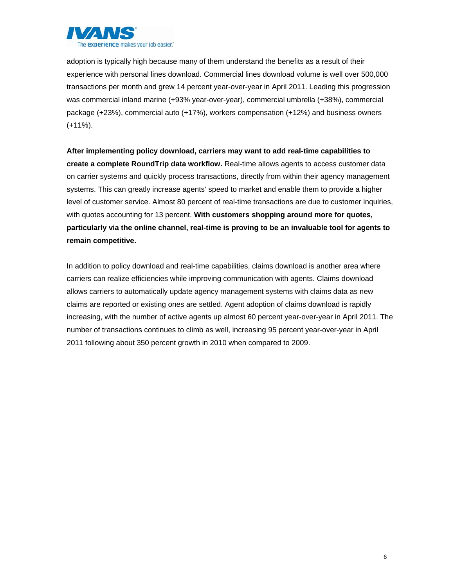

adoption is typically high because many of them understand the benefits as a result of their experience with personal lines download. Commercial lines download volume is well over 500,000 transactions per month and grew 14 percent year-over-year in April 2011. Leading this progression was commercial inland marine (+93% year-over-year), commercial umbrella (+38%), commercial package (+23%), commercial auto (+17%), workers compensation (+12%) and business owners (+11%).

**After implementing policy download, carriers may want to add real-time capabilities to create a complete RoundTrip data workflow.** Real-time allows agents to access customer data on carrier systems and quickly process transactions, directly from within their agency management systems. This can greatly increase agents' speed to market and enable them to provide a higher level of customer service. Almost 80 percent of real-time transactions are due to customer inquiries, with quotes accounting for 13 percent. **With customers shopping around more for quotes, particularly via the online channel, real-time is proving to be an invaluable tool for agents to remain competitive.**

In addition to policy download and real-time capabilities, claims download is another area where carriers can realize efficiencies while improving communication with agents. Claims download allows carriers to automatically update agency management systems with claims data as new claims are reported or existing ones are settled. Agent adoption of claims download is rapidly increasing, with the number of active agents up almost 60 percent year-over-year in April 2011. The number of transactions continues to climb as well, increasing 95 percent year-over-year in April 2011 following about 350 percent growth in 2010 when compared to 2009.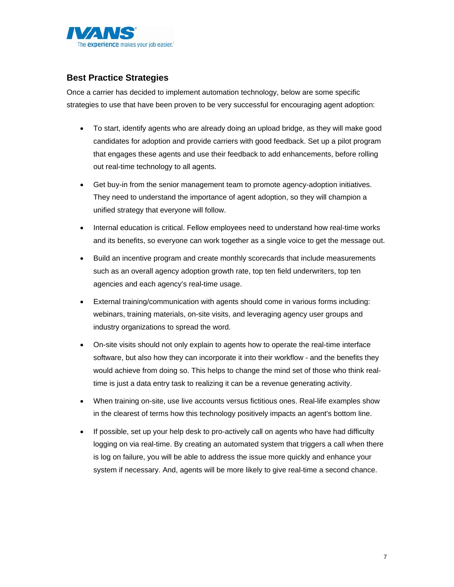

## **Best Practice Strategies**

Once a carrier has decided to implement automation technology, below are some specific strategies to use that have been proven to be very successful for encouraging agent adoption:

- To start, identify agents who are already doing an upload bridge, as they will make good candidates for adoption and provide carriers with good feedback. Set up a pilot program that engages these agents and use their feedback to add enhancements, before rolling out real-time technology to all agents.
- Get buy-in from the senior management team to promote agency-adoption initiatives. They need to understand the importance of agent adoption, so they will champion a unified strategy that everyone will follow.
- Internal education is critical. Fellow employees need to understand how real-time works and its benefits, so everyone can work together as a single voice to get the message out.
- Build an incentive program and create monthly scorecards that include measurements such as an overall agency adoption growth rate, top ten field underwriters, top ten agencies and each agency's real-time usage.
- External training/communication with agents should come in various forms including: webinars, training materials, on-site visits, and leveraging agency user groups and industry organizations to spread the word.
- On-site visits should not only explain to agents how to operate the real-time interface software, but also how they can incorporate it into their workflow - and the benefits they would achieve from doing so. This helps to change the mind set of those who think realtime is just a data entry task to realizing it can be a revenue generating activity.
- When training on-site, use live accounts versus fictitious ones. Real-life examples show in the clearest of terms how this technology positively impacts an agent's bottom line.
- If possible, set up your help desk to pro-actively call on agents who have had difficulty logging on via real-time. By creating an automated system that triggers a call when there is log on failure, you will be able to address the issue more quickly and enhance your system if necessary. And, agents will be more likely to give real-time a second chance.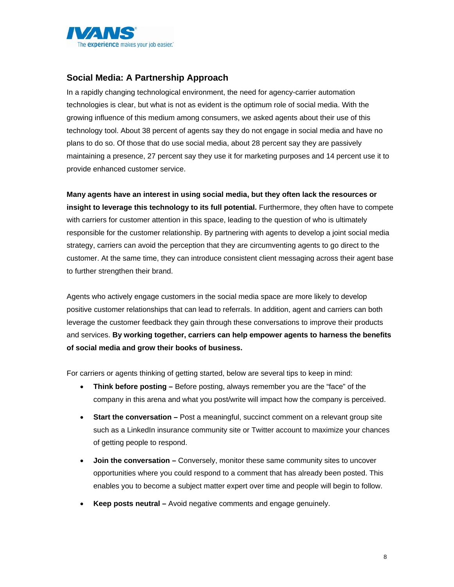

## **Social Media: A Partnership Approach**

In a rapidly changing technological environment, the need for agency-carrier automation technologies is clear, but what is not as evident is the optimum role of social media. With the growing influence of this medium among consumers, we asked agents about their use of this technology tool. About 38 percent of agents say they do not engage in social media and have no plans to do so. Of those that do use social media, about 28 percent say they are passively maintaining a presence, 27 percent say they use it for marketing purposes and 14 percent use it to provide enhanced customer service.

**Many agents have an interest in using social media, but they often lack the resources or insight to leverage this technology to its full potential.** Furthermore, they often have to compete with carriers for customer attention in this space, leading to the question of who is ultimately responsible for the customer relationship. By partnering with agents to develop a joint social media strategy, carriers can avoid the perception that they are circumventing agents to go direct to the customer. At the same time, they can introduce consistent client messaging across their agent base to further strengthen their brand.

Agents who actively engage customers in the social media space are more likely to develop positive customer relationships that can lead to referrals. In addition, agent and carriers can both leverage the customer feedback they gain through these conversations to improve their products and services. **By working together, carriers can help empower agents to harness the benefits of social media and grow their books of business.** 

For carriers or agents thinking of getting started, below are several tips to keep in mind:

- **Think before posting** Before posting, always remember you are the "face" of the company in this arena and what you post/write will impact how the company is perceived.
- **Start the conversation** Post a meaningful, succinct comment on a relevant group site such as a LinkedIn insurance community site or Twitter account to maximize your chances of getting people to respond.
- **Join the conversation** Conversely, monitor these same community sites to uncover opportunities where you could respond to a comment that has already been posted. This enables you to become a subject matter expert over time and people will begin to follow.
- **Keep posts neutral** Avoid negative comments and engage genuinely.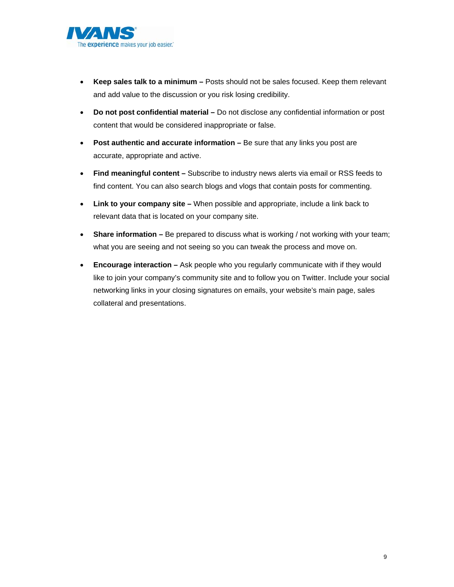

- **Keep sales talk to a minimum** Posts should not be sales focused. Keep them relevant and add value to the discussion or you risk losing credibility.
- **Do not post confidential material** Do not disclose any confidential information or post content that would be considered inappropriate or false.
- **Post authentic and accurate information** Be sure that any links you post are accurate, appropriate and active.
- **Find meaningful content** Subscribe to industry news alerts via email or RSS feeds to find content. You can also search blogs and vlogs that contain posts for commenting.
- **Link to your company site** When possible and appropriate, include a link back to relevant data that is located on your company site.
- **Share information** Be prepared to discuss what is working / not working with your team; what you are seeing and not seeing so you can tweak the process and move on.
- **Encourage interaction** Ask people who you regularly communicate with if they would like to join your company's community site and to follow you on Twitter. Include your social networking links in your closing signatures on emails, your website's main page, sales collateral and presentations.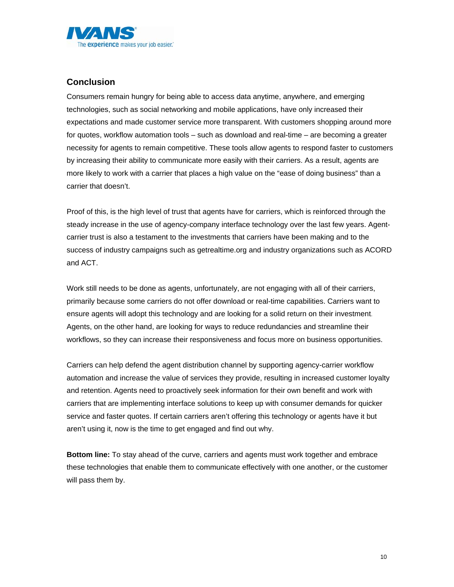

## **Conclusion**

Consumers remain hungry for being able to access data anytime, anywhere, and emerging technologies, such as social networking and mobile applications, have only increased their expectations and made customer service more transparent. With customers shopping around more for quotes, workflow automation tools – such as download and real-time – are becoming a greater necessity for agents to remain competitive. These tools allow agents to respond faster to customers by increasing their ability to communicate more easily with their carriers. As a result, agents are more likely to work with a carrier that places a high value on the "ease of doing business" than a carrier that doesn't.

Proof of this, is the high level of trust that agents have for carriers, which is reinforced through the steady increase in the use of agency-company interface technology over the last few years. Agentcarrier trust is also a testament to the investments that carriers have been making and to the success of industry campaigns such as getrealtime.org and industry organizations such as ACORD and ACT.

Work still needs to be done as agents, unfortunately, are not engaging with all of their carriers, primarily because some carriers do not offer download or real-time capabilities. Carriers want to ensure agents will adopt this technology and are looking for a solid return on their investment. Agents, on the other hand, are looking for ways to reduce redundancies and streamline their workflows, so they can increase their responsiveness and focus more on business opportunities.

Carriers can help defend the agent distribution channel by supporting agency-carrier workflow automation and increase the value of services they provide, resulting in increased customer loyalty and retention. Agents need to proactively seek information for their own benefit and work with carriers that are implementing interface solutions to keep up with consumer demands for quicker service and faster quotes. If certain carriers aren't offering this technology or agents have it but aren't using it, now is the time to get engaged and find out why.

**Bottom line:** To stay ahead of the curve, carriers and agents must work together and embrace these technologies that enable them to communicate effectively with one another, or the customer will pass them by.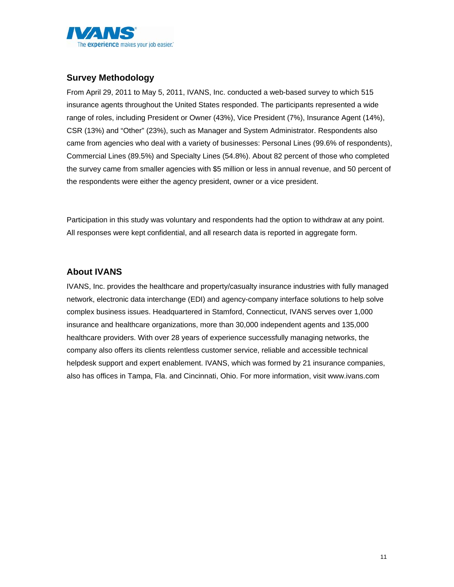

## **Survey Methodology**

From April 29, 2011 to May 5, 2011, IVANS, Inc. conducted a web-based survey to which 515 insurance agents throughout the United States responded. The participants represented a wide range of roles, including President or Owner (43%), Vice President (7%), Insurance Agent (14%), CSR (13%) and "Other" (23%), such as Manager and System Administrator. Respondents also came from agencies who deal with a variety of businesses: Personal Lines (99.6% of respondents), Commercial Lines (89.5%) and Specialty Lines (54.8%). About 82 percent of those who completed the survey came from smaller agencies with \$5 million or less in annual revenue, and 50 percent of the respondents were either the agency president, owner or a vice president.

Participation in this study was voluntary and respondents had the option to withdraw at any point. All responses were kept confidential, and all research data is reported in aggregate form.

## **About IVANS**

IVANS, Inc. provides the healthcare and property/casualty insurance industries with fully managed network, electronic data interchange (EDI) and agency-company interface solutions to help solve complex business issues. Headquartered in Stamford, Connecticut, IVANS serves over 1,000 insurance and healthcare organizations, more than 30,000 independent agents and 135,000 healthcare providers. With over 28 years of experience successfully managing networks, the company also offers its clients relentless customer service, reliable and accessible technical helpdesk support and expert enablement. IVANS, which was formed by 21 insurance companies, also has offices in Tampa, Fla. and Cincinnati, Ohio. For more information, visit www.ivans.com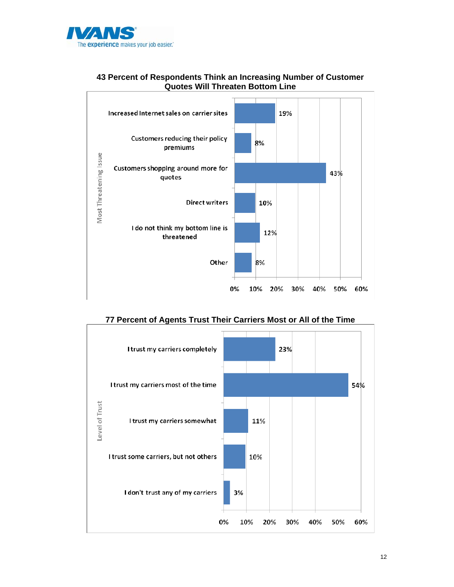



#### **43 Percent of Respondents Think an Increasing Number of Customer Quotes Will Threaten Bottom Line**

**77 Percent of Agents Trust Their Carriers Most or All of the Time** 

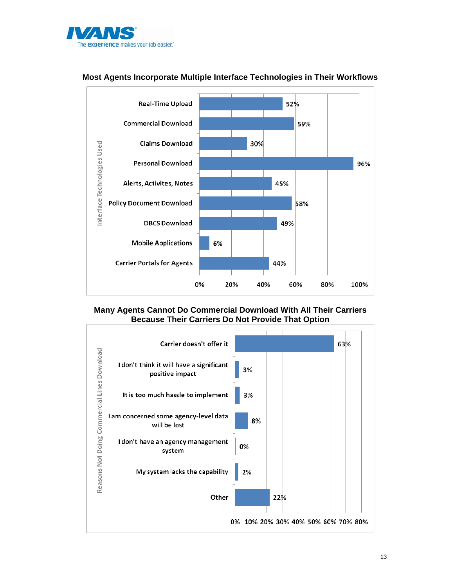



#### **Most Agents Incorporate Multiple Interface Technologies in Their Workflows**

#### **Many Agents Cannot Do Commercial Download With All Their Carriers Because Their Carriers Do Not Provide That Option**